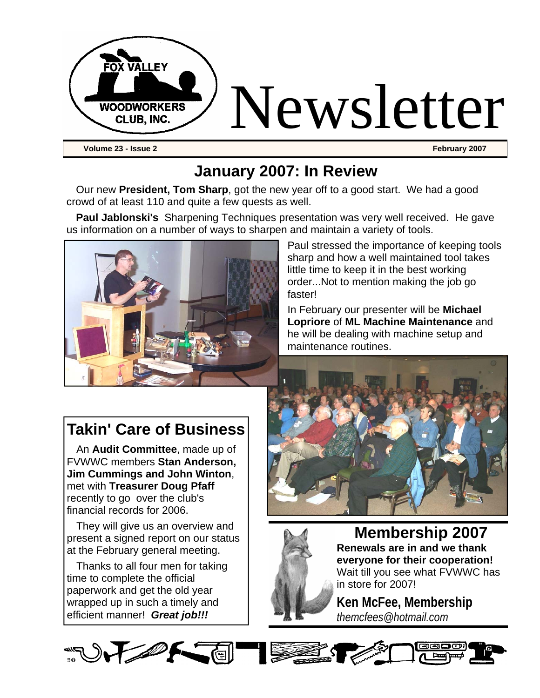

### **January 2007: In Review**

Our new **President, Tom Sharp**, got the new year off to a good start. We had a good crowd of at least 110 and quite a few quests as well.

**Paul Jablonski's** Sharpening Techniques presentation was very well received. He gave us information on a number of ways to sharpen and maintain a variety of tools.



Paul stressed the importance of keeping tools sharp and how a well maintained tool takes little time to keep it in the best working order...Not to mention making the job go faster!

In February our presenter will be **Michael Lopriore** of **ML Machine Maintenance** and he will be dealing with machine setup and maintenance routines.

### **Takin' Care of Business**

An **Audit Committee**, made up of FVWWC members **Stan Anderson, Jim Cummings and John Winton**, met with **Treasurer Doug Pfaff** recently to go over the club's financial records for 2006.

They will give us an overview and present a signed report on our status at the February general meeting.

Thanks to all four men for taking time to complete the official paperwork and get the old year wrapped up in such a timely and efficient manner! *Great job!!!*





**Membership 2007 Renewals are in and we thank everyone for their cooperation!** Wait till you see what FVWWC has in store for 2007!

**Ken McFee, Membership**  *themcfees@hotmail.com*

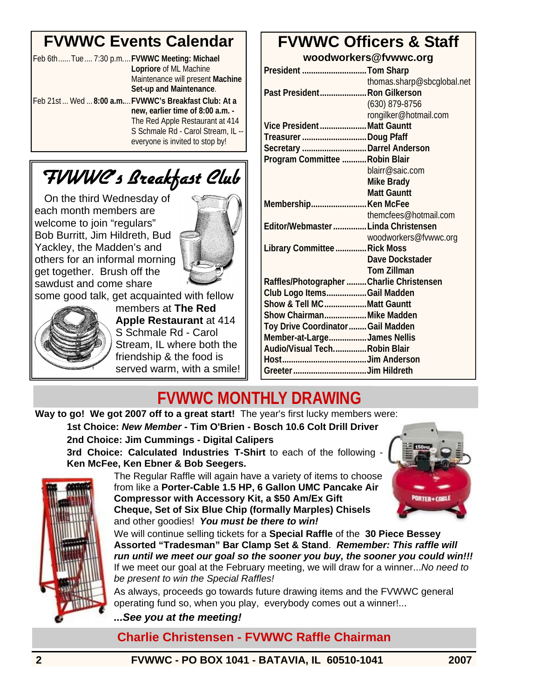# **FVWWC Events Calendar**

| Feb 6thTue 7:30 p.mFVWWC Meeting: Michael |                                                     |
|-------------------------------------------|-----------------------------------------------------|
|                                           | Lopriore of ML Machine                              |
|                                           | Maintenance will present Machine                    |
|                                           | Set-up and Maintenance.                             |
|                                           | Feb 21st Wed  8:00 a.m FVWWC's Breakfast Club: At a |
|                                           | new, earlier time of 8:00 a.m. -                    |
|                                           | The Red Apple Restaurant at 414                     |
|                                           | S Schmale Rd - Carol Stream, IL --                  |
|                                           | everyone is invited to stop by!                     |
|                                           |                                                     |

# FVWWC's Breakfast Club

On the third Wednesday of each month members are welcome to join "regulars" Bob Burritt, Jim Hildreth, Bud Yackley, the Madden's and others for an informal morning get together. Brush off the sawdust and come share



some good talk, get acquainted with fellow



members at **The Red Apple Restaurant** at 414 S Schmale Rd - Carol Stream, IL where both the friendship & the food is served warm, with a smile!

### **FVWWC Officers & Staff woodworkers@fvwwc.org**

| President Tom Sharp                       |                            |
|-------------------------------------------|----------------------------|
|                                           | thomas.sharp@sbcglobal.net |
| Past President Ron Gilkerson              |                            |
|                                           | $(630)$ 879-8756           |
|                                           | rongilker@hotmail.com      |
| Vice President Matt Gauntt                |                            |
| Treasurer Doug Pfaff                      |                            |
| Secretary  Darrel Anderson                |                            |
| Program Committee  Robin Blair            |                            |
|                                           | blairr@saic.com            |
|                                           | Mike Brady                 |
|                                           | <b>Matt Gauntt</b>         |
|                                           |                            |
|                                           | themcfees@hotmail.com      |
| Editor/Webmaster  Linda Christensen       |                            |
|                                           | woodworkers@fvwwc.org      |
| Library Committee  Rick Moss              |                            |
|                                           | Dave Dockstader            |
|                                           | <b>Tom Zillman</b>         |
| Raffles/Photographer  Charlie Christensen |                            |
| Club Logo ItemsGail Madden                |                            |
| Show & Tell MCMatt Gauntt                 |                            |
| Show Chairman Mike Madden                 |                            |
| Toy Drive Coordinator  Gail Madden        |                            |
| Member-at-LargeJames Nellis               |                            |
| Audio/Visual TechRobin Blair              |                            |
|                                           |                            |
|                                           |                            |

# **FVWWC MONTHLY DRAWING**

**Way to go! We got 2007 off to a great start!** The year's first lucky members were: **1st Choice:** *New Member* **- Tim O'Brien - Bosch 10.6 Colt Drill Driver 2nd Choice: Jim Cummings - Digital Calipers 3rd Choice: Calculated Industries T-Shirt** to each of the following - **Ken McFee, Ken Ebner & Bob Seegers.**



The Regular Raffle will again have a variety of items to choose from like a **Porter-Cable 1.5 HP, 6 Gallon UMC Pancake Air Compressor with Accessory Kit, a \$50 Am/Ex Gift Cheque, Set of Six Blue Chip (formally Marples) Chisels**  and other goodies! *You must be there to win!* 



We will continue selling tickets for a **Special Raffle** of the **30 Piece Bessey Assorted "Tradesman" Bar Clamp Set & Stand**. *Remember: This raffle will run until we meet our goal so the sooner you buy, the sooner you could win!!!*  If we meet our goal at the February meeting, we will draw for a winner...*No need to be present to win the Special Raffles!* 

As always, proceeds go towards future drawing items and the FVWWC general operating fund so, when you play, everybody comes out a winner!...

*...See you at the meeting!* 

**Charlie Christensen - FVWWC Raffle Chairman**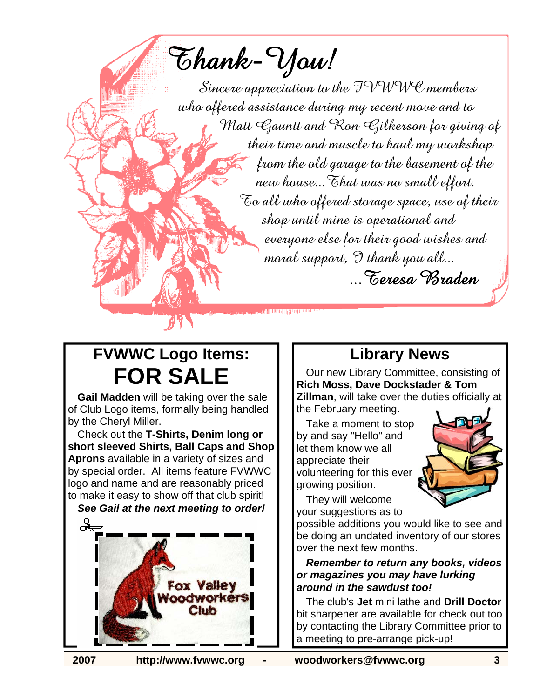Thank-You!

Sincere appreciation to the  $\mathcal{F}VWW\mathcal{C}$  members who offered assistance during my recent move and to Matt Gauntt and Ron Gilkerson for giving of their time and muscle to haul my workshop from the old garage to the basement of the new house... That was no small effort.  $\mathcal{\overline{C}}$ o all who offered storage space, use of their shop until mine is operational and everyone else for their good wishes and moral support,  $\mathfrak{D}$  thank you all... ...Teresa Braden

illing geen oo

# **FVWWC Logo Items: FOR SALE**

**Gail Madden** will be taking over the sale of Club Logo items, formally being handled by the Cheryl Miller.

Check out the **T-Shirts, Denim long or short sleeved Shirts, Ball Caps and Shop Aprons** available in a variety of sizes and by special order. All items feature FVWWC logo and name and are reasonably priced to make it easy to show off that club spirit! *See Gail at the next meeting to order!*

**Fox Valley** oodworkers  $C$ lub

### **Library News**

Our new Library Committee, consisting of **Rich Moss, Dave Dockstader & Tom Zillman**, will take over the duties officially at the February meeting.

Take a moment to stop by and say "Hello" and let them know we all appreciate their volunteering for this ever growing position.



They will welcome your suggestions as to

possible additions you would like to see and be doing an undated inventory of our stores over the next few months.

*Remember to return any books, videos or magazines you may have lurking around in the sawdust too!* 

The club's **Jet** mini lathe and **Drill Doctor**  bit sharpener are available for check out too by contacting the Library Committee prior to a meeting to pre-arrange pick-up!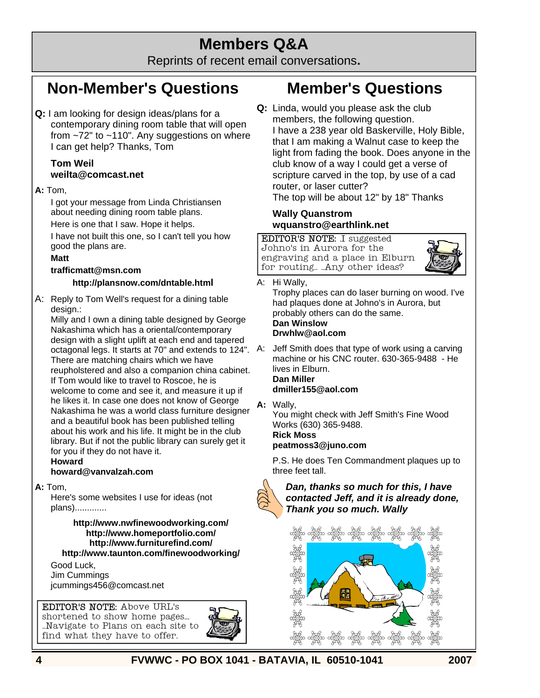### **Members Q&A**

Reprints of recent email conversations**.**

### **Non-Member's Questions**

**Q:** I am looking for design ideas/plans for a contemporary dining room table that will open from ~72" to ~110". Any suggestions on where I can get help? Thanks, Tom

#### **Tom Weil weilta@comcast.net**

#### **A:** Tom,

I got your message from Linda Christiansen about needing dining room table plans.

Here is one that I saw. Hope it helps.

I have not built this one, so I can't tell you how good the plans are.

#### **Matt**

#### **trafficmatt@msn.com**

#### **http://plansnow.com/dntable.html**

A: Reply to Tom Well's request for a dining table design.:

Milly and I own a dining table designed by George Nakashima which has a oriental/contemporary design with a slight uplift at each end and tapered octagonal legs. It starts at 70" and extends to 124". There are matching chairs which we have reupholstered and also a companion china cabinet. If Tom would like to travel to Roscoe, he is welcome to come and see it, and measure it up if he likes it. In case one does not know of George Nakashima he was a world class furniture designer and a beautiful book has been published telling about his work and his life. It might be in the club library. But if not the public library can surely get it for you if they do not have it.

#### **Howard**

#### **howard@vanvalzah.com**

#### **A:** Tom,

Here's some websites I use for ideas (not plans).............

#### **http://www.nwfinewoodworking.com/ http://www.homeportfolio.com/ http://www.furniturefind.com/**

**http://www.taunton.com/finewoodworking/** Good Luck,

Jim Cummings jcummings456@comcast.net

EDITOR'S NOTE: Above URL's shortened to show home pages...

find what they have to offer.



## **Member's Questions**

**Q:** Linda, would you please ask the club members, the following question. I have a 238 year old Baskerville, Holy Bible, that I am making a Walnut case to keep the light from fading the book. Does anyone in the club know of a way I could get a verse of scripture carved in the top, by use of a cad router, or laser cutter? The top will be about 12" by 18" Thanks

#### **Wally Quanstrom wquanstro@earthlink.net**

EDITOR'S NOTE: .I suggested Johno's in Aurora for the engraving and a place in Elburn for routing.. ..Any other ideas?



- A: Hi Wally,
	- Trophy places can do laser burning on wood. I've had plaques done at Johno's in Aurora, but probably others can do the same.

#### **Dan Winslow Drwhlw@aol.com**

Jeff Smith does that type of work using a carving machine or his CNC router. 630-365-9488 - He lives in Elburn. **Dan Miller** 

#### **dmiller155@aol.com**

**A:** Wally,

You might check with Jeff Smith's Fine Wood Works (630) 365-9488.

#### **Rick Moss peatmoss3@juno.com**

 P.S. He does Ten Commandment plaques up to three feet tall.

*Dan, thanks so much for this, I have contacted Jeff, and it is already done, Thank you so much. Wally*



**4 FVWWC - PO BOX 1041 - BATAVIA, IL 60510-1041 2007**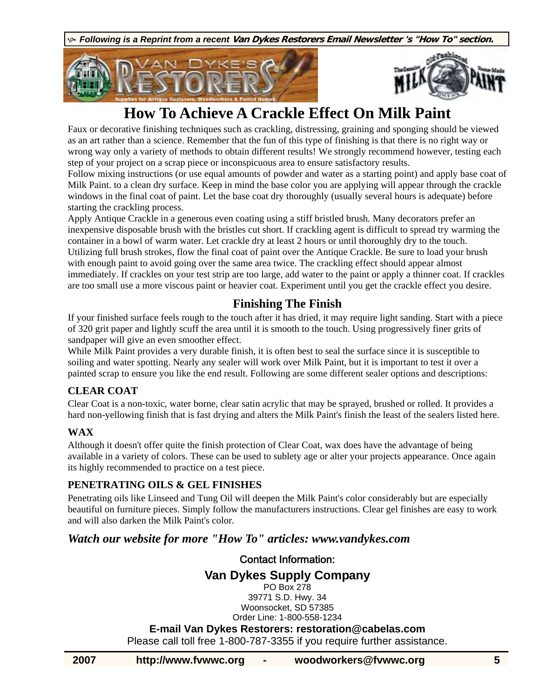K *Following is a Reprint from a recent* **Van Dykes Restorers Email Newsletter 's "How To" section.**





### **How To Achieve A Crackle Effect On Milk Paint**

Faux or decorative finishing techniques such as crackling, distressing, graining and sponging should be viewed as an art rather than a science. Remember that the fun of this type of finishing is that there is no right way or wrong way only a variety of methods to obtain different results! We strongly recommend however, testing each step of your project on a scrap piece or inconspicuous area to ensure satisfactory results.

Follow mixing instructions (or use equal amounts of powder and water as a starting point) and apply base coat of Milk Paint. to a clean dry surface. Keep in mind the base color you are applying will appear through the crackle windows in the final coat of paint. Let the base coat dry thoroughly (usually several hours is adequate) before starting the crackling process.

Apply Antique Crackle in a generous even coating using a stiff bristled brush. Many decorators prefer an inexpensive disposable brush with the bristles cut short. If crackling agent is difficult to spread try warming the container in a bowl of warm water. Let crackle dry at least 2 hours or until thoroughly dry to the touch. Utilizing full brush strokes, flow the final coat of paint over the Antique Crackle. Be sure to load your brush with enough paint to avoid going over the same area twice. The crackling effect should appear almost immediately. If crackles on your test strip are too large, add water to the paint or apply a thinner coat. If crackles are too small use a more viscous paint or heavier coat. Experiment until you get the crackle effect you desire.

### **Finishing The Finish**

If your finished surface feels rough to the touch after it has dried, it may require light sanding. Start with a piece of 320 grit paper and lightly scuff the area until it is smooth to the touch. Using progressively finer grits of sandpaper will give an even smoother effect.

While Milk Paint provides a very durable finish, it is often best to seal the surface since it is susceptible to soiling and water spotting. Nearly any sealer will work over Milk Paint, but it is important to test it over a painted scrap to ensure you like the end result. Following are some different sealer options and descriptions:

### **CLEAR COAT**

Clear Coat is a non-toxic, water borne, clear satin acrylic that may be sprayed, brushed or rolled. It provides a hard non-yellowing finish that is fast drying and alters the Milk Paint's finish the least of the sealers listed here.

### **WAX**

Although it doesn't offer quite the finish protection of Clear Coat, wax does have the advantage of being available in a variety of colors. These can be used to sublety age or alter your projects appearance. Once again its highly recommended to practice on a test piece.

### **PENETRATING OILS & GEL FINISHES**

Penetrating oils like Linseed and Tung Oil will deepen the Milk Paint's color considerably but are especially beautiful on furniture pieces. Simply follow the manufacturers instructions. Clear gel finishes are easy to work and will also darken the Milk Paint's color.

### *Watch our website for more "How To" articles: www.vandykes.com*

Contact Information: **Van Dykes Supply Company** PO Box 278 39771 S.D. Hwy. 34 Woonsocket, SD 57385 Order Line: 1-800-558-1234 **E-mail Van Dykes Restorers: restoration@cabelas.com**  Please call toll free 1-800-787-3355 if you require further assistance.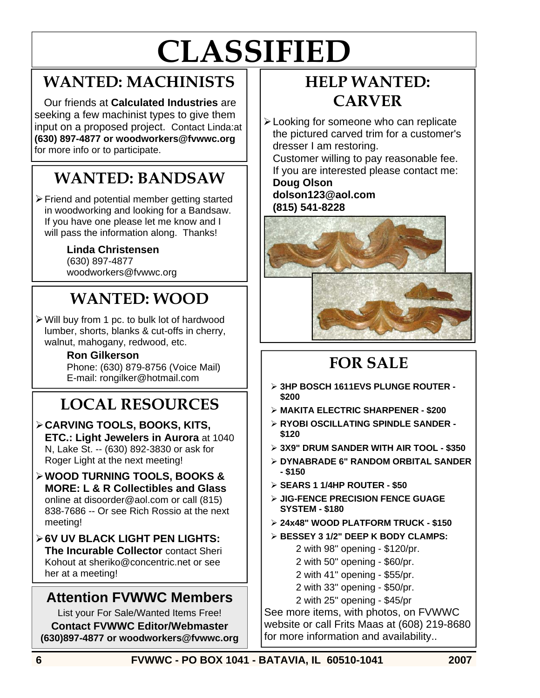# **CLASSIFIED**

### **WANTED: MACHINISTS**

Our friends at **Calculated Industries** are seeking a few machinist types to give them input on a proposed project. Contact Linda:at **(630) 897-4877 or woodworkers@fvwwc.org**  for more info or to participate.

# **WANTED: BANDSAW**

¾ Friend and potential member getting started in woodworking and looking for a Bandsaw. If you have one please let me know and I will pass the information along. Thanks!

### **Linda Christensen**

(630) 897-4877 woodworkers@fvwwc.org

# **WANTED: WOOD**

¾ Will buy from 1 pc. to bulk lot of hardwood lumber, shorts, blanks & cut-offs in cherry, walnut, mahogany, redwood, etc.

### **Ron Gilkerson**

Phone: (630) 879-8756 (Voice Mail) E-mail: rongilker@hotmail.com

# **LOCAL RESOURCES**

- ¾ **CARVING TOOLS, BOOKS, KITS, ETC.: Light Jewelers in Aurora** at 1040 N, Lake St. -- (630) 892-3830 or ask for Roger Light at the next meeting!
- ¾ **WOOD TURNING TOOLS, BOOKS & MORE: L & R Collectibles and Glass**  online at disoorder@aol.com or call (815) 838-7686 -- Or see Rich Rossio at the next meeting!
- ¾ **6V UV BLACK LIGHT PEN LIGHTS: The Incurable Collector** contact Sheri Kohout at sheriko@concentric.net or see her at a meeting!

### **Attention FVWWC Members**

List your For Sale/Wanted Items Free! **Contact FVWWC Editor/Webmaster (630)897-4877 or woodworkers@fvwwc.org** 

# **HELP WANTED: CARVER**

¾ Looking for someone who can replicate the pictured carved trim for a customer's dresser I am restoring.

Customer willing to pay reasonable fee. If you are interested please contact me:

#### **Doug Olson dolson123@aol.com (815) 541-8228**



# **FOR SALE**

- ¾ **3HP BOSCH 1611EVS PLUNGE ROUTER \$200**
- ¾ **MAKITA ELECTRIC SHARPENER \$200**
- ¾ **RYOBI OSCILLATING SPINDLE SANDER \$120**
- ¾ **3X9" DRUM SANDER WITH AIR TOOL \$350**
- ¾ **DYNABRADE 6" RANDOM ORBITAL SANDER - \$150**
- ¾ **SEARS 1 1/4HP ROUTER \$50**
- ¾ **JIG-FENCE PRECISION FENCE GUAGE SYSTEM - \$180**
- ¾ **24x48" WOOD PLATFORM TRUCK \$150**
- ¾ **BESSEY 3 1/2" DEEP K BODY CLAMPS:** 
	- 2 with 98" opening \$120/pr.
	- 2 with 50" opening \$60/pr.
	- 2 with 41" opening \$55/pr.
	- 2 with 33" opening \$50/pr.
	- 2 with 25" opening \$45/pr

See more items, with photos, on FVWWC website or call Frits Maas at (608) 219-8680 for more information and availability..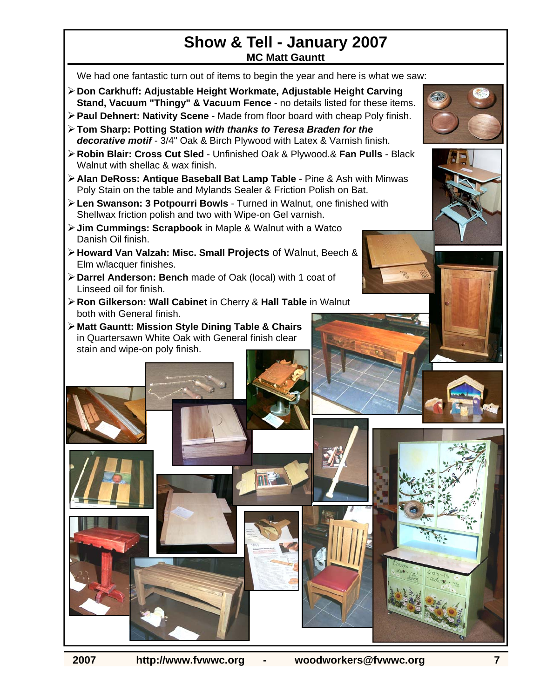### **Show & Tell - January 2007 MC Matt Gauntt**

We had one fantastic turn out of items to begin the year and here is what we saw:

- ¾ **Don Carkhuff: Adjustable Height Workmate, Adjustable Height Carving Stand, Vacuum "Thingy" & Vacuum Fence** - no details listed for these items.
- ¾ **Paul Dehnert: Nativity Scene**  Made from floor board with cheap Poly finish.
- ¾ **Tom Sharp: Potting Station** *with thanks to Teresa Braden for the decorative motif* - 3/4" Oak & Birch Plywood with Latex & Varnish finish.
- ¾ **Robin Blair: Cross Cut Sled**  Unfinished Oak & Plywood.& **Fan Pulls**  Black Walnut with shellac & wax finish.
- ¾ **Alan DeRoss: Antique Baseball Bat Lamp Table**  Pine & Ash with Minwas Poly Stain on the table and Mylands Sealer & Friction Polish on Bat.
- ¾ **Len Swanson: 3 Potpourri Bowls**  Turned in Walnut, one finished with Shellwax friction polish and two with Wipe-on Gel varnish.
- ¾ **Jim Cummings: Scrapbook** in Maple & Walnut with a Watco Danish Oil finish.
- ¾ **Howard Van Valzah: Misc. Small Projects** of Walnut, Beech & Elm w/lacquer finishes.
- ¾ **Darrel Anderson: Bench** made of Oak (local) with 1 coat of Linseed oil for finish.
- ¾ **Ron Gilkerson: Wall Cabinet** in Cherry & **Hall Table** in Walnut both with General finish.
- ¾ **Matt Gauntt: Mission Style Dining Table & Chairs** in Quartersawn White Oak with General finish clear stain and wipe-on poly finish.